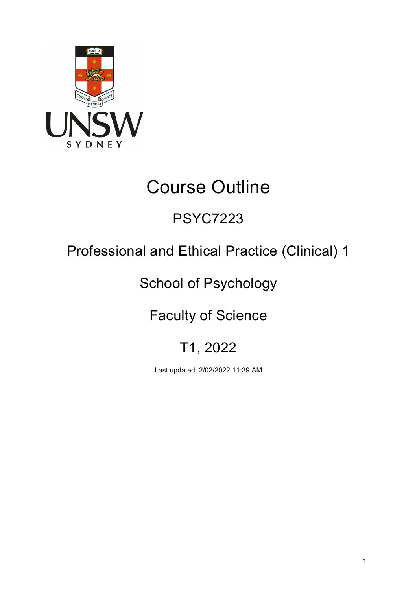

# Course Outline

# PSYC7223

# Professional and Ethical Practice (Clinical) 1

# School of Psychology

# Faculty of Science

# T1, 2022

Last updated: 2/02/2022 11:39 AM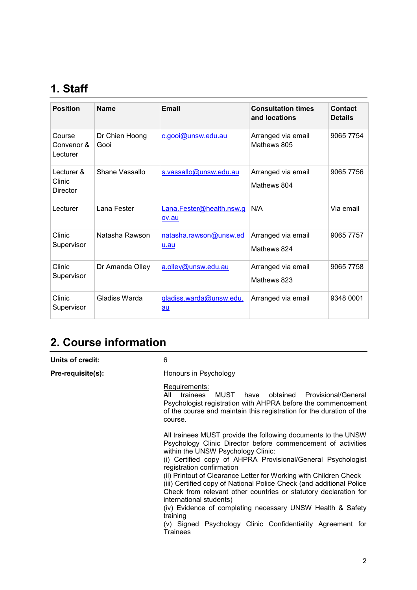# **1. Staff**

| <b>Position</b>                  | <b>Name</b>            | Email                             | <b>Consultation times</b><br>and locations | Contact<br><b>Details</b> |
|----------------------------------|------------------------|-----------------------------------|--------------------------------------------|---------------------------|
| Course<br>Convenor &<br>Lecturer | Dr Chien Hoong<br>Gooi | c.gooi@unsw.edu.au                | Arranged via email<br>Mathews 805          | 9065 7754                 |
| Lecturer &<br>Clinic<br>Director | Shane Vassallo         | s.vassallo@unsw.edu.au            | Arranged via email<br>Mathews 804          | 9065 7756                 |
| Lecturer                         | Lana Fester            | Lana.Fester@health.nsw.g<br>ov.au | N/A                                        | Via email                 |
| Clinic<br>Supervisor             | Natasha Rawson         | natasha.rawson@unsw.ed<br>u.au    | Arranged via email<br>Mathews 824          | 9065 7757                 |
| Clinic<br>Supervisor             | Dr Amanda Olley        | a.olley@unsw.edu.au               | Arranged via email<br>Mathews 823          | 9065 7758                 |
| Clinic<br>Supervisor             | Gladiss Warda          | gladiss.warda@unsw.edu.<br>au     | Arranged via email                         | 9348 0001                 |

## **2. Course information**

**Units of credit:** 6

**Pre-requisite(s):** Honours in Psychology

#### Requirements:

All trainees MUST have obtained Provisional/General Psychologist registration with AHPRA before the commencement of the course and maintain this registration for the duration of the course.

All trainees MUST provide the following documents to the UNSW Psychology Clinic Director before commencement of activities within the UNSW Psychology Clinic:

(i) Certified copy of AHPRA Provisional/General Psychologist registration confirmation

(ii) Printout of Clearance Letter for Working with Children Check

(iii) Certified copy of National Police Check (and additional Police Check from relevant other countries or statutory declaration for international students)

(iv) Evidence of completing necessary UNSW Health & Safety training

(v) Signed Psychology Clinic Confidentiality Agreement for **Trainees**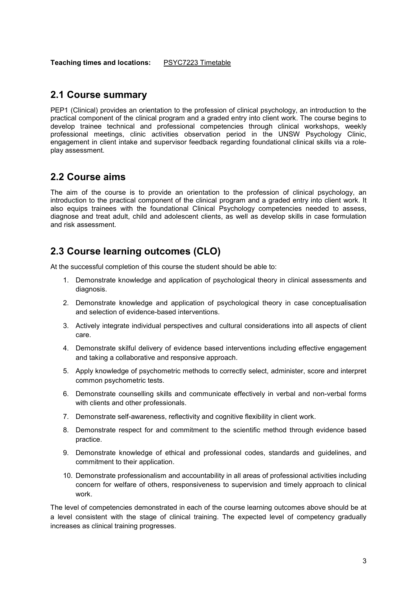**Teaching times and locations:** [PSYC7223](https://timetable.unsw.edu.au/2022/PSYC7223.html) Timetable

### **2.1 Course summary**

PEP1 (Clinical) provides an orientation to the profession of clinical psychology, an introduction to the practical component of the clinical program and a graded entry into client work. The course begins to develop trainee technical and professional competencies through clinical workshops, weekly professional meetings, clinic activities observation period in the UNSW Psychology Clinic, engagement in client intake and supervisor feedback regarding foundational clinical skills via a roleplay assessment.

### **2.2 Course aims**

The aim of the course is to provide an orientation to the profession of clinical psychology, an introduction to the practical component of the clinical program and a graded entry into client work. It also equips trainees with the foundational Clinical Psychology competencies needed to assess, diagnose and treat adult, child and adolescent clients, as well as develop skills in case formulation and risk assessment.

### **2.3 Course learning outcomes (CLO)**

At the successful completion of this course the student should be able to:

- 1. Demonstrate knowledge and application of psychological theory in clinical assessments and diagnosis.
- 2. Demonstrate knowledge and application of psychological theory in case conceptualisation and selection of evidence-based interventions.
- 3. Actively integrate individual perspectives and cultural considerations into all aspects of client care.
- 4. Demonstrate skilful delivery of evidence based interventions including effective engagement and taking a collaborative and responsive approach.
- 5. Apply knowledge of psychometric methods to correctly select, administer, score and interpret common psychometric tests.
- 6. Demonstrate counselling skills and communicate effectively in verbal and non-verbal forms with clients and other professionals.
- 7. Demonstrate self-awareness, reflectivity and cognitive flexibility in client work.
- 8. Demonstrate respect for and commitment to the scientific method through evidence based practice.
- 9. Demonstrate knowledge of ethical and professional codes, standards and guidelines, and commitment to their application.
- 10. Demonstrate professionalism and accountability in all areas of professional activities including concern for welfare of others, responsiveness to supervision and timely approach to clinical work.

The level of competencies demonstrated in each of the course learning outcomes above should be at a level consistent with the stage of clinical training. The expected level of competency gradually increases as clinical training progresses.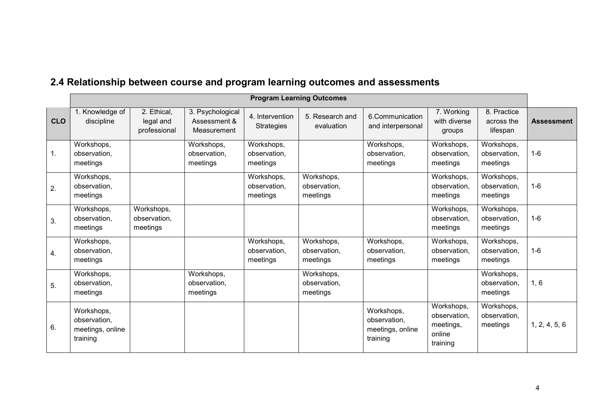| 2.4 Relationship between course and program learning outcomes and assessments |  |  |
|-------------------------------------------------------------------------------|--|--|
|-------------------------------------------------------------------------------|--|--|

|            | <b>Program Learning Outcomes</b>                           |                                          |                                                 |                                        |                                        |                                                            |                                                               |                                        |                   |
|------------|------------------------------------------------------------|------------------------------------------|-------------------------------------------------|----------------------------------------|----------------------------------------|------------------------------------------------------------|---------------------------------------------------------------|----------------------------------------|-------------------|
| <b>CLO</b> | Knowledge of<br>discipline                                 | 2. Ethical,<br>legal and<br>professional | 3. Psychological<br>Assessment &<br>Measurement | 4. Intervention<br><b>Strategies</b>   | 5. Research and<br>evaluation          | 6.Communication<br>and interpersonal                       | 7. Working<br>with diverse<br>groups                          | 8. Practice<br>across the<br>lifespan  | <b>Assessment</b> |
| 1.         | Workshops,<br>observation,<br>meetings                     |                                          | Workshops,<br>observation,<br>meetings          | Workshops,<br>observation,<br>meetings |                                        | Workshops,<br>observation,<br>meetings                     | Workshops,<br>observation.<br>meetings                        | Workshops,<br>observation,<br>meetings | $1-6$             |
| 2.         | Workshops,<br>observation,<br>meetings                     |                                          |                                                 | Workshops,<br>observation.<br>meetings | Workshops,<br>observation.<br>meetings |                                                            | Workshops,<br>observation.<br>meetings                        | Workshops,<br>observation,<br>meetings | $1-6$             |
| 3.         | Workshops,<br>observation,<br>meetings                     | Workshops,<br>observation,<br>meetings   |                                                 |                                        |                                        |                                                            | Workshops,<br>observation,<br>meetings                        | Workshops,<br>observation,<br>meetings | $1-6$             |
| 4.         | Workshops,<br>observation,<br>meetings                     |                                          |                                                 | Workshops,<br>observation,<br>meetings | Workshops,<br>observation,<br>meetings | Workshops,<br>observation,<br>meetings                     | Workshops,<br>observation,<br>meetings                        | Workshops,<br>observation,<br>meetings | $1-6$             |
| 5.         | Workshops,<br>observation,<br>meetings                     |                                          | Workshops,<br>observation,<br>meetings          |                                        | Workshops,<br>observation,<br>meetings |                                                            |                                                               | Workshops,<br>observation,<br>meetings | 1, 6              |
| 6.         | Workshops,<br>observation,<br>meetings, online<br>training |                                          |                                                 |                                        |                                        | Workshops,<br>observation,<br>meetings, online<br>training | Workshops,<br>observation,<br>meetings,<br>online<br>training | Workshops,<br>observation,<br>meetings | 1, 2, 4, 5, 6     |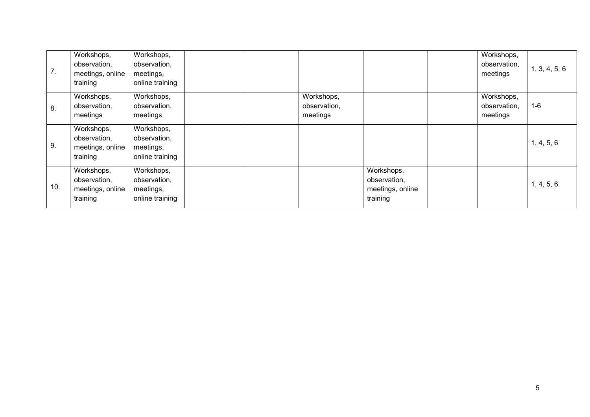| 7.  | Workshops,<br>observation,<br>meetings, online<br>training | Workshops,<br>observation,<br>meetings,<br>online training |  |                                        |                                                            | Workshops,<br>observation,<br>meetings | 1, 3, 4, 5, 6 |
|-----|------------------------------------------------------------|------------------------------------------------------------|--|----------------------------------------|------------------------------------------------------------|----------------------------------------|---------------|
| 8.  | Workshops,<br>observation,<br>meetings                     | Workshops,<br>observation,<br>meetings                     |  | Workshops,<br>observation,<br>meetings |                                                            | Workshops,<br>observation,<br>meetings | $1 - 6$       |
| 9.  | Workshops,<br>observation,<br>meetings, online<br>training | Workshops,<br>observation,<br>meetings,<br>online training |  |                                        |                                                            |                                        | 1, 4, 5, 6    |
| 10. | Workshops,<br>observation,<br>meetings, online<br>training | Workshops,<br>observation,<br>meetings,<br>online training |  |                                        | Workshops,<br>observation,<br>meetings, online<br>training |                                        | 1, 4, 5, 6    |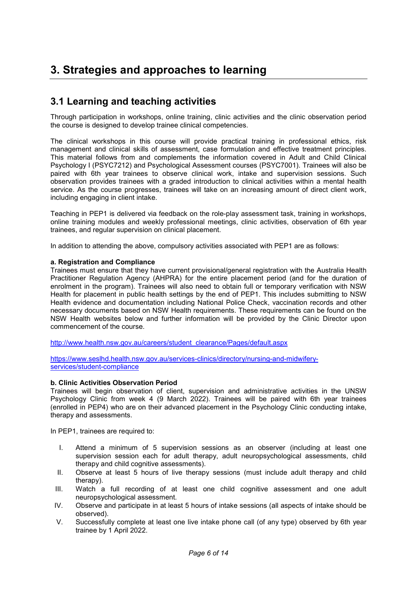## **3. Strategies and approaches to learning**

### **3.1 Learning and teaching activities**

Through participation in workshops, online training, clinic activities and the clinic observation period the course is designed to develop trainee clinical competencies.

The clinical workshops in this course will provide practical training in professional ethics, risk management and clinical skills of assessment, case formulation and effective treatment principles. This material follows from and complements the information covered in Adult and Child Clinical Psychology I (PSYC7212) and Psychological Assessment courses (PSYC7001). Trainees will also be paired with 6th year trainees to observe clinical work, intake and supervision sessions. Such observation provides trainees with a graded introduction to clinical activities within a mental health service. As the course progresses, trainees will take on an increasing amount of direct client work, including engaging in client intake.

Teaching in PEP1 is delivered via feedback on the role-play assessment task, training in workshops, online training modules and weekly professional meetings, clinic activities, observation of 6th year trainees, and regular supervision on clinical placement.

In addition to attending the above, compulsory activities associated with PEP1 are as follows:

#### **a. Registration and Compliance**

Trainees must ensure that they have current provisional/general registration with the Australia Health Practitioner Regulation Agency (AHPRA) for the entire placement period (and for the duration of enrolment in the program). Trainees will also need to obtain full or temporary verification with NSW Health for placement in public health settings by the end of PEP1. This includes submitting to NSW Health evidence and documentation including National Police Check, vaccination records and other necessary documents based on NSW Health requirements. These requirements can be found on the NSW Health websites below and further information will be provided by the Clinic Director upon commencement of the course.

[http://www.health.nsw.gov.au/careers/student\\_clearance/Pages/default.aspx](http://www.health.nsw.gov.au/careers/student_clearance/Pages/default.aspx)

[https://www.seslhd.health.nsw.gov.au/services-clinics/directory/nursing-and-midwifery](https://www.seslhd.health.nsw.gov.au/services-clinics/directory/nursing-and-midwifery-services/student-compliance)[services/student-compliance](https://www.seslhd.health.nsw.gov.au/services-clinics/directory/nursing-and-midwifery-services/student-compliance)

#### **b. Clinic Activities Observation Period**

Trainees will begin observation of client, supervision and administrative activities in the UNSW Psychology Clinic from week 4 (9 March 2022). Trainees will be paired with 6th year trainees (enrolled in PEP4) who are on their advanced placement in the Psychology Clinic conducting intake, therapy and assessments.

In PEP1, trainees are required to:

- I. Attend a minimum of 5 supervision sessions as an observer (including at least one supervision session each for adult therapy, adult neuropsychological assessments, child therapy and child cognitive assessments).
- II. Observe at least 5 hours of live therapy sessions (must include adult therapy and child therapy).
- III. Watch a full recording of at least one child cognitive assessment and one adult neuropsychological assessment.
- IV. Observe and participate in at least 5 hours of intake sessions (all aspects of intake should be observed).
- V. Successfully complete at least one live intake phone call (of any type) observed by 6th year trainee by 1 April 2022.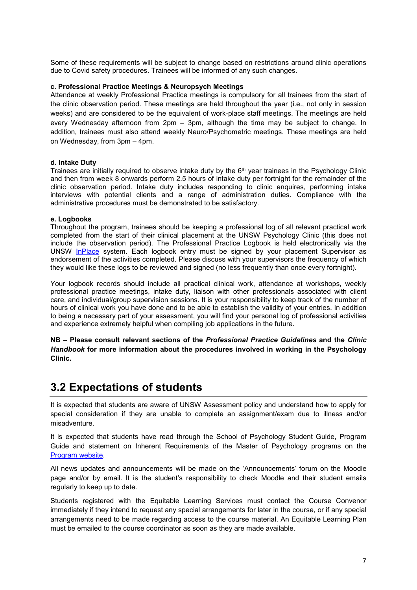Some of these requirements will be subject to change based on restrictions around clinic operations due to Covid safety procedures. Trainees will be informed of any such changes.

#### **c. Professional Practice Meetings & Neuropsych Meetings**

Attendance at weekly Professional Practice meetings is compulsory for all trainees from the start of the clinic observation period. These meetings are held throughout the year (i.e., not only in session weeks) and are considered to be the equivalent of work-place staff meetings. The meetings are held every Wednesday afternoon from 2pm – 3pm, although the time may be subject to change. In addition, trainees must also attend weekly Neuro/Psychometric meetings. These meetings are held on Wednesday, from 3pm – 4pm.

#### **d. Intake Duty**

Trainees are initially required to observe intake duty by the 6th year trainees in the Psychology Clinic and then from week 8 onwards perform 2.5 hours of intake duty per fortnight for the remainder of the clinic observation period. Intake duty includes responding to clinic enquires, performing intake interviews with potential clients and a range of administration duties. Compliance with the administrative procedures must be demonstrated to be satisfactory.

#### **e. Logbooks**

Throughout the program, trainees should be keeping a professional log of all relevant practical work completed from the start of their clinical placement at the UNSW Psychology Clinic (this does not include the observation period). The Professional Practice Logbook is held electronically via the UNSW [InPlace](https://placements.unsw.edu.au/) system. Each logbook entry must be signed by your placement Supervisor as endorsement of the activities completed. Please discuss with your supervisors the frequency of which they would like these logs to be reviewed and signed (no less frequently than once every fortnight).

Your logbook records should include all practical clinical work, attendance at workshops, weekly professional practice meetings, intake duty, liaison with other professionals associated with client care, and individual/group supervision sessions. It is your responsibility to keep track of the number of hours of clinical work you have done and to be able to establish the validity of your entries. In addition to being a necessary part of your assessment, you will find your personal log of professional activities and experience extremely helpful when compiling job applications in the future.

**NB – Please consult relevant sections of the** *Professional Practice Guidelines* **and the** *Clinic Handbook* **for more information about the procedures involved in working in the Psychology Clinic.**

### **3.2 Expectations of students**

It is expected that students are aware of UNSW Assessment policy and understand how to apply for special consideration if they are unable to complete an assignment/exam due to illness and/or misadventure.

It is expected that students have read through the School of Psychology Student Guide, Program Guide and statement on Inherent Requirements of the Master of Psychology programs on the [Program website.](https://www.psy.unsw.edu.au/postgraduate-coursework/master-psychology-clinical)

All news updates and announcements will be made on the 'Announcements' forum on the Moodle page and/or by email. It is the student's responsibility to check Moodle and their student emails regularly to keep up to date.

Students registered with the Equitable Learning Services must contact the Course Convenor immediately if they intend to request any special arrangements for later in the course, or if any special arrangements need to be made regarding access to the course material. An Equitable Learning Plan must be emailed to the course coordinator as soon as they are made available.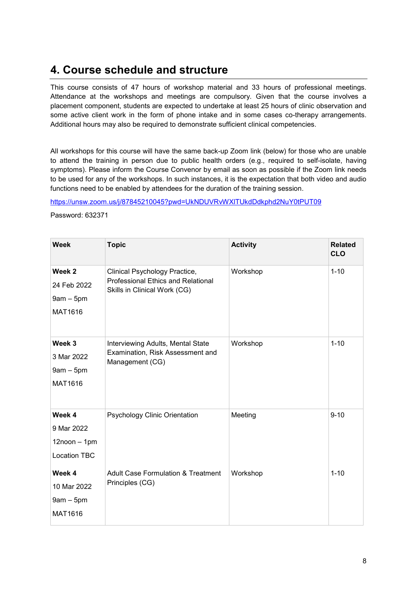## **4. Course schedule and structure**

This course consists of 47 hours of workshop material and 33 hours of professional meetings. Attendance at the workshops and meetings are compulsory. Given that the course involves a placement component, students are expected to undertake at least 25 hours of clinic observation and some active client work in the form of phone intake and in some cases co-therapy arrangements. Additional hours may also be required to demonstrate sufficient clinical competencies.

All workshops for this course will have the same back-up Zoom link (below) for those who are unable to attend the training in person due to public health orders (e.g., required to self-isolate, having symptoms). Please inform the Course Convenor by email as soon as possible if the Zoom link needs to be used for any of the workshops. In such instances, it is the expectation that both video and audio functions need to be enabled by attendees for the duration of the training session.

<https://unsw.zoom.us/j/87845210045?pwd=UkNDUVRvWXlTUkdDdkphd2NuY0tPUT09>

Password: 632371

| <b>Week</b>                                                      | <b>Topic</b>                                                                                        | <b>Activity</b> | <b>Related</b><br><b>CLO</b> |
|------------------------------------------------------------------|-----------------------------------------------------------------------------------------------------|-----------------|------------------------------|
| Week 2<br>24 Feb 2022<br>$9am - 5pm$<br>MAT1616                  | Clinical Psychology Practice,<br>Professional Ethics and Relational<br>Skills in Clinical Work (CG) | Workshop        | $1 - 10$                     |
| Week <sub>3</sub><br>3 Mar 2022<br>$9am - 5pm$<br>MAT1616        | Interviewing Adults, Mental State<br>Examination, Risk Assessment and<br>Management (CG)            | Workshop        | $1 - 10$                     |
| Week 4<br>9 Mar 2022<br>$12$ noon $-1$ pm<br><b>Location TBC</b> | Psychology Clinic Orientation                                                                       | Meeting         | $9 - 10$                     |
| Week 4<br>10 Mar 2022<br>$9am - 5pm$<br>MAT1616                  | <b>Adult Case Formulation &amp; Treatment</b><br>Principles (CG)                                    | Workshop        | $1 - 10$                     |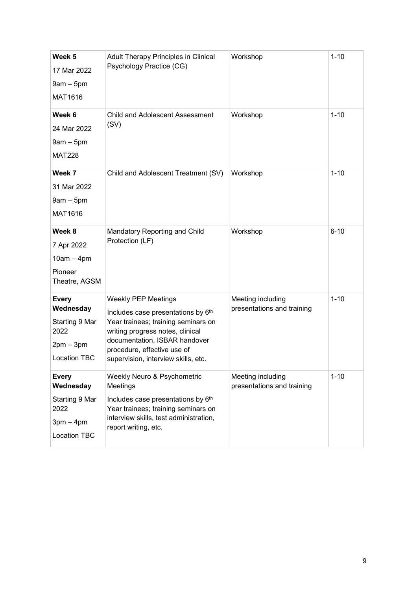| Week 5<br>17 Mar 2022<br>$9am - 5pm$<br>MAT1616                                           | Adult Therapy Principles in Clinical<br>Psychology Practice (CG)                                                                                                                                                                                   | Workshop                                        | $1 - 10$ |
|-------------------------------------------------------------------------------------------|----------------------------------------------------------------------------------------------------------------------------------------------------------------------------------------------------------------------------------------------------|-------------------------------------------------|----------|
| Week 6<br>24 Mar 2022<br>$9am - 5pm$<br><b>MAT228</b>                                     | <b>Child and Adolescent Assessment</b><br>(SV)                                                                                                                                                                                                     | Workshop                                        | $1 - 10$ |
| Week 7<br>31 Mar 2022<br>$9am - 5pm$<br>MAT1616                                           | Child and Adolescent Treatment (SV)                                                                                                                                                                                                                | Workshop                                        | $1 - 10$ |
| Week 8<br>7 Apr 2022<br>$10am - 4pm$<br>Pioneer<br>Theatre, AGSM                          | Mandatory Reporting and Child<br>Protection (LF)                                                                                                                                                                                                   | Workshop                                        | $6 - 10$ |
| <b>Every</b><br>Wednesday<br>Starting 9 Mar<br>2022<br>$2pm - 3pm$<br><b>Location TBC</b> | <b>Weekly PEP Meetings</b><br>Includes case presentations by 6th<br>Year trainees; training seminars on<br>writing progress notes, clinical<br>documentation, ISBAR handover<br>procedure, effective use of<br>supervision, interview skills, etc. | Meeting including<br>presentations and training | $1 - 10$ |
| <b>Every</b><br>Wednesday<br>Starting 9 Mar<br>2022<br>$3pm - 4pm$<br>Location TBC        | Weekly Neuro & Psychometric<br>Meetings<br>Includes case presentations by 6th<br>Year trainees; training seminars on<br>interview skills, test administration,<br>report writing, etc.                                                             | Meeting including<br>presentations and training | $1 - 10$ |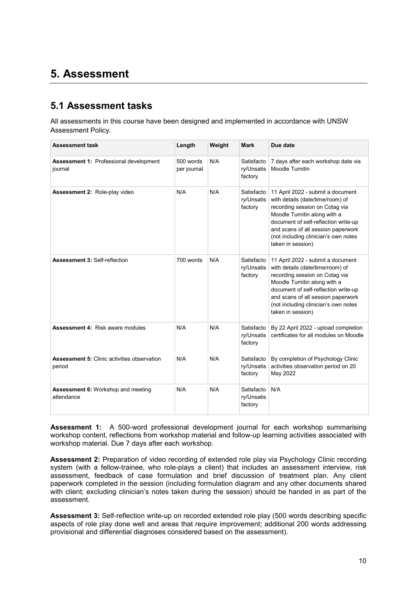## **5. Assessment**

### **5.1 Assessment tasks**

All assessments in this course have been designed and implemented in accordance with UNSW Assessment Policy.

| <b>Assessment task</b>                                       | Length                   | Weight | <b>Mark</b>                         | Due date                                                                                                                                                                                                                                                                           |
|--------------------------------------------------------------|--------------------------|--------|-------------------------------------|------------------------------------------------------------------------------------------------------------------------------------------------------------------------------------------------------------------------------------------------------------------------------------|
| <b>Assessment 1: Professional development</b><br>journal     | 500 words<br>per journal | N/A    | Satisfacto<br>ry/Unsatis<br>factory | 7 days after each workshop date via<br>Moodle Turnitin                                                                                                                                                                                                                             |
| Assessment 2: Role-play video                                | N/A                      | N/A    | Satisfacto<br>ry/Unsatis<br>factory | 11 April 2022 - submit a document<br>with details (date/time/room) of<br>recording session on Cotag via<br>Moodle Turnitin along with a<br>document of self-reflection write-up<br>and scans of all session paperwork<br>(not including clinician's own notes<br>taken in session) |
| <b>Assessment 3: Self-reflection</b>                         | 700 words                | N/A    | Satisfacto<br>ry/Unsatis<br>factory | 11 April 2022 - submit a document<br>with details (date/time/room) of<br>recording session on Cotag via<br>Moodle Turnitin along with a<br>document of self-reflection write-up<br>and scans of all session paperwork<br>(not including clinician's own notes<br>taken in session) |
| <b>Assessment 4: Risk aware modules</b>                      | N/A                      | N/A    | Satisfacto<br>ry/Unsatis<br>factory | By 22 April 2022 - upload completion<br>certificates for all modules on Moodle                                                                                                                                                                                                     |
| <b>Assessment 5: Clinic activities observation</b><br>period | N/A                      | N/A    | Satisfacto<br>ry/Unsatis<br>factory | By completion of Psychology Clinic<br>activities observation period on 20<br>May 2022                                                                                                                                                                                              |
| Assessment 6: Workshop and meeting<br>attendance             | N/A                      | N/A    | Satisfacto<br>ry/Unsatis<br>factory | N/A                                                                                                                                                                                                                                                                                |

**Assessment 1:** A 500-word professional development journal for each workshop summarising workshop content, reflections from workshop material and follow-up learning activities associated with workshop material*.* Due 7 days after each workshop.

**Assessment 2:** Preparation of video recording of extended role play via Psychology Clinic recording system (with a fellow-trainee, who role-plays a client) that includes an assessment interview, risk assessment, feedback of case formulation and brief discussion of treatment plan. Any client paperwork completed in the session (including formulation diagram and any other documents shared with client; excluding clinician's notes taken during the session) should be handed in as part of the assessment.

**Assessment 3:** Self-reflection write-up on recorded extended role play (500 words describing specific aspects of role play done well and areas that require improvement; additional 200 words addressing provisional and differential diagnoses considered based on the assessment).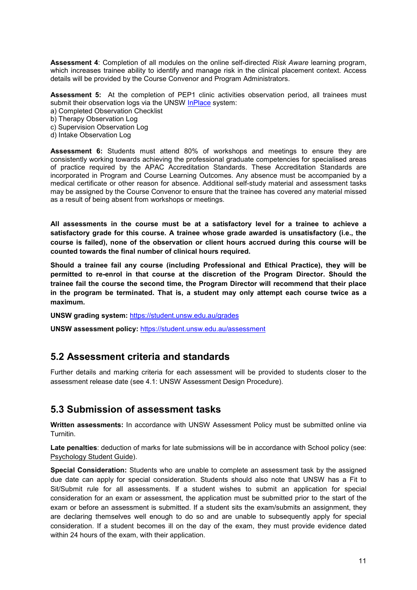**Assessment 4**: Completion of all modules on the online self-directed *Risk Aware* learning program, which increases trainee ability to identify and manage risk in the clinical placement context. Access details will be provided by the Course Convenor and Program Administrators.

**Assessment 5:** At the completion of PEP1 clinic activities observation period, all trainees must submit their observation logs via the UNSW [InPlace](https://placements.unsw.edu.au/) system:

- a) Completed Observation Checklist
- b) Therapy Observation Log
- c) Supervision Observation Log
- d) Intake Observation Log

**Assessment 6:** Students must attend 80% of workshops and meetings to ensure they are consistently working towards achieving the professional graduate competencies for specialised areas of practice required by the APAC Accreditation Standards. These Accreditation Standards are incorporated in Program and Course Learning Outcomes. Any absence must be accompanied by a medical certificate or other reason for absence. Additional self-study material and assessment tasks may be assigned by the Course Convenor to ensure that the trainee has covered any material missed as a result of being absent from workshops or meetings.

**All assessments in the course must be at a satisfactory level for a trainee to achieve a satisfactory grade for this course. A trainee whose grade awarded is unsatisfactory (i.e., the course is failed), none of the observation or client hours accrued during this course will be counted towards the final number of clinical hours required.**

**Should a trainee fail any course (including Professional and Ethical Practice), they will be permitted to re-enrol in that course at the discretion of the Program Director. Should the trainee fail the course the second time, the Program Director will recommend that their place in the program be terminated. That is, a student may only attempt each course twice as a maximum.**

**UNSW grading system:** <https://student.unsw.edu.au/grades>

**UNSW assessment policy:** <https://student.unsw.edu.au/assessment>

### **5.2 Assessment criteria and standards**

Further details and marking criteria for each assessment will be provided to students closer to the assessment release date (see 4.1: UNSW Assessment Design Procedure).

### **5.3 Submission of assessment tasks**

**Written assessments:** In accordance with UNSW Assessment Policy must be submitted online via Turnitin.

**Late penalties**: deduction of marks for late submissions will be in accordance with School policy (see: [Psychology Student Guide\)](https://moodle.telt.unsw.edu.au/course/view.php?id=63942).

**Special Consideration:** Students who are unable to complete an assessment task by the assigned due date can apply for special consideration. Students should also note that UNSW has a Fit to Sit/Submit rule for all assessments. If a student wishes to submit an application for special consideration for an exam or assessment, the application must be submitted prior to the start of the exam or before an assessment is submitted. If a student sits the exam/submits an assignment, they are declaring themselves well enough to do so and are unable to subsequently apply for special consideration. If a student becomes ill on the day of the exam, they must provide evidence dated within 24 hours of the exam, with their application.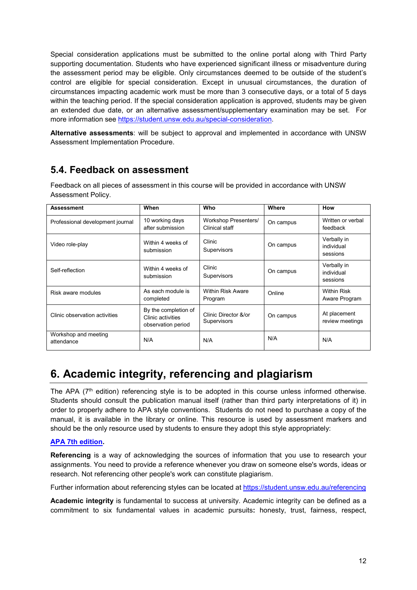Special consideration applications must be submitted to the online portal along with Third Party supporting documentation. Students who have experienced significant illness or misadventure during the assessment period may be eligible. Only circumstances deemed to be outside of the student's control are eligible for special consideration. Except in unusual circumstances, the duration of circumstances impacting academic work must be more than 3 consecutive days, or a total of 5 days within the teaching period. If the special consideration application is approved, students may be given an extended due date, or an alternative assessment/supplementary examination may be set. For more information see [https://student.unsw.edu.au/special-consideration.](https://student.unsw.edu.au/special-consideration)

**Alternative assessments**: will be subject to approval and implemented in accordance with UNSW Assessment Implementation Procedure.

### **5.4. Feedback on assessment**

| <b>Assessment</b>                  | When                                                            | Who                                    | Where     | How                                   |
|------------------------------------|-----------------------------------------------------------------|----------------------------------------|-----------|---------------------------------------|
| Professional development journal   | 10 working days<br>after submission                             | Workshop Presenters/<br>Clinical staff | On campus | Written or verbal<br>feedback         |
| Video role-play                    | Within 4 weeks of<br>submission                                 | Clinic<br>Supervisors                  | On campus | Verbally in<br>individual<br>sessions |
| Self-reflection                    | Within 4 weeks of<br>submission                                 | Clinic<br>Supervisors                  | On campus | Verbally in<br>individual<br>sessions |
| Risk aware modules                 | As each module is<br>completed                                  | <b>Within Risk Aware</b><br>Program    | Online    | <b>Within Risk</b><br>Aware Program   |
| Clinic observation activities      | By the completion of<br>Clinic activities<br>observation period | Clinic Director &/or<br>Supervisors    | On campus | At placement<br>review meetings       |
| Workshop and meeting<br>attendance | N/A                                                             | N/A                                    | N/A       | N/A                                   |

Feedback on all pieces of assessment in this course will be provided in accordance with UNSW Assessment Policy.

# **6. Academic integrity, referencing and plagiarism**

The APA ( $7<sup>th</sup>$  edition) referencing style is to be adopted in this course unless informed otherwise. Students should consult the publication manual itself (rather than third party interpretations of it) in order to properly adhere to APA style conventions. Students do not need to purchase a copy of the manual, it is available in the library or online. This resource is used by assessment markers and should be the only resource used by students to ensure they adopt this style appropriately:

#### **[APA 7th edition.](http://www.apastyle.org/manual/index.aspx)**

**Referencing** is a way of acknowledging the sources of information that you use to research your assignments. You need to provide a reference whenever you draw on someone else's words, ideas or research. Not referencing other people's work can constitute plagiarism.

Further information about referencing styles can be located at <https://student.unsw.edu.au/referencing>

**Academic integrity** is fundamental to success at university. Academic integrity can be defined as a commitment to six fundamental values in academic pursuits**:** honesty, trust, fairness, respect,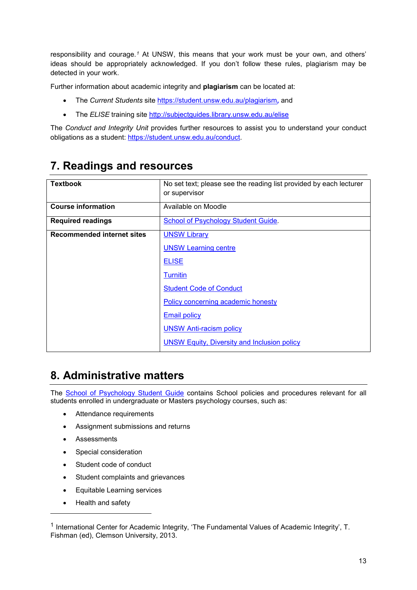responsibility and courage.*[1](#page-12-0)* At UNSW, this means that your work must be your own, and others' ideas should be appropriately acknowledged. If you don't follow these rules, plagiarism may be detected in your work.

Further information about academic integrity and **plagiarism** can be located at:

- The *Current Students* site <https://student.unsw.edu.au/plagiarism>*,* and
- The *ELISE* training site <http://subjectguides.library.unsw.edu.au/elise>

The *Conduct and Integrity Unit* provides further resources to assist you to understand your conduct obligations as a student: [https://student.unsw.edu.au/conduct.](https://student.unsw.edu.au/conduct)

## **7. Readings and resources**

| <b>Textbook</b>                   | No set text; please see the reading list provided by each lecturer |
|-----------------------------------|--------------------------------------------------------------------|
|                                   | or supervisor                                                      |
| <b>Course information</b>         | Available on Moodle                                                |
| <b>Required readings</b>          | School of Psychology Student Guide.                                |
| <b>Recommended internet sites</b> | <b>UNSW Library</b>                                                |
|                                   | <b>UNSW Learning centre</b>                                        |
|                                   | <b>ELISE</b>                                                       |
|                                   | <b>Turnitin</b>                                                    |
|                                   | <b>Student Code of Conduct</b>                                     |
|                                   | Policy concerning academic honesty                                 |
|                                   | <b>Email policy</b>                                                |
|                                   | <b>UNSW Anti-racism policy</b>                                     |
|                                   | <b>UNSW Equity, Diversity and Inclusion policy</b>                 |

## **8. Administrative matters**

The [School of Psychology Student Guide](https://www.psy.unsw.edu.au/current-students/student-guide) contains School policies and procedures relevant for all students enrolled in undergraduate or Masters psychology courses, such as:

- Attendance requirements
- Assignment submissions and returns
- Assessments
- Special consideration
- Student code of conduct
- Student complaints and grievances
- Equitable Learning services
- Health and safety

j

<span id="page-12-0"></span><sup>&</sup>lt;sup>1</sup> International Center for Academic Integrity, 'The Fundamental Values of Academic Integrity', T. Fishman (ed), Clemson University, 2013.